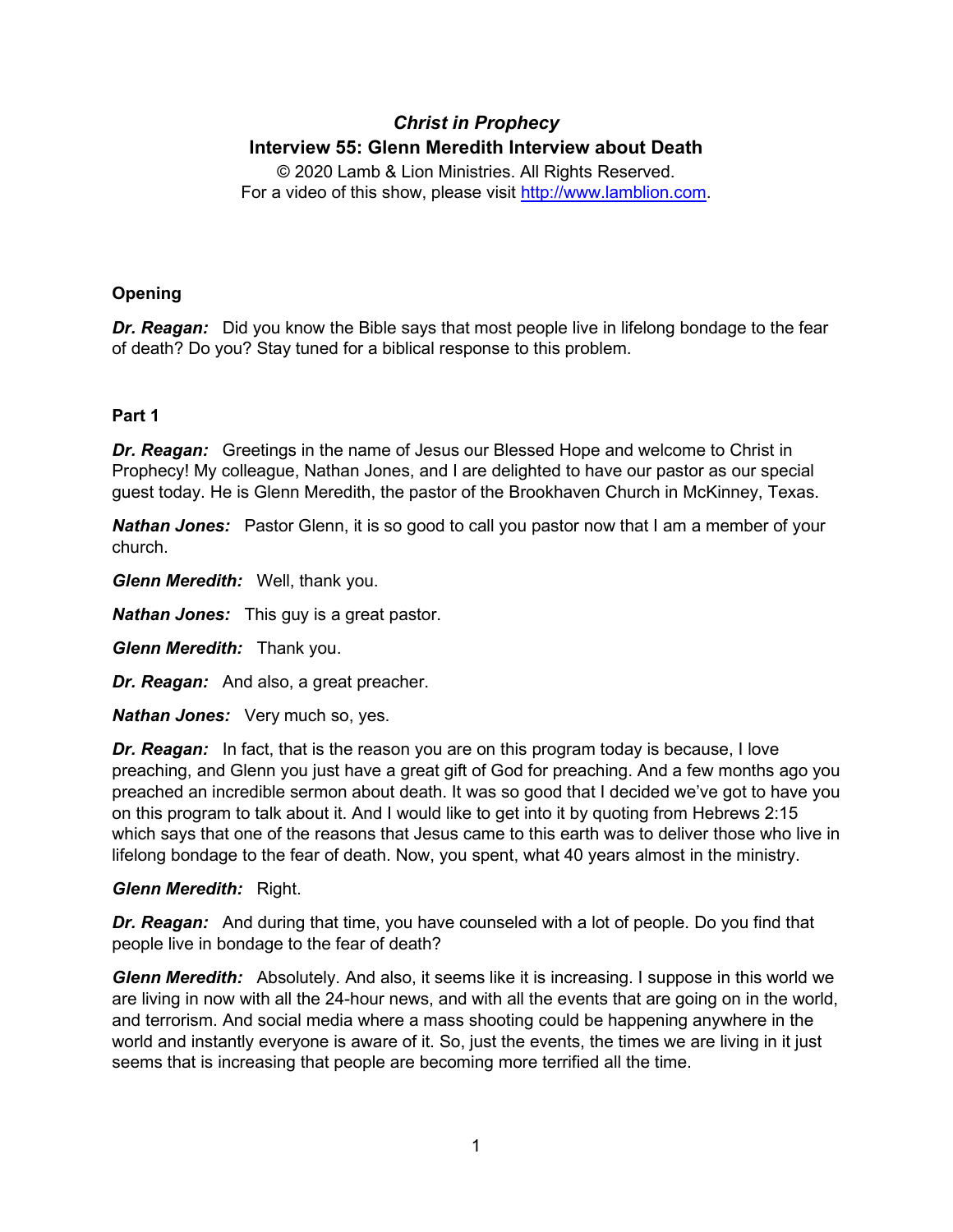# *Christ in Prophecy* **Interview 55: Glenn Meredith Interview about Death**

© 2020 Lamb & Lion Ministries. All Rights Reserved. For a video of this show, please visit [http://www.lamblion.com.](http://www.lamblion.com/)

# **Opening**

*Dr. Reagan:* Did you know the Bible says that most people live in lifelong bondage to the fear of death? Do you? Stay tuned for a biblical response to this problem.

# **Part 1**

*Dr. Reagan:* Greetings in the name of Jesus our Blessed Hope and welcome to Christ in Prophecy! My colleague, Nathan Jones, and I are delighted to have our pastor as our special guest today. He is Glenn Meredith, the pastor of the Brookhaven Church in McKinney, Texas.

**Nathan Jones:** Pastor Glenn, it is so good to call you pastor now that I am a member of your church.

*Glenn Meredith:* Well, thank you.

*Nathan Jones:* This guy is a great pastor.

*Glenn Meredith:* Thank you.

*Dr. Reagan:* And also, a great preacher.

*Nathan Jones:* Very much so, yes.

*Dr. Reagan:* In fact, that is the reason you are on this program today is because, I love preaching, and Glenn you just have a great gift of God for preaching. And a few months ago you preached an incredible sermon about death. It was so good that I decided we've got to have you on this program to talk about it. And I would like to get into it by quoting from Hebrews 2:15 which says that one of the reasons that Jesus came to this earth was to deliver those who live in lifelong bondage to the fear of death. Now, you spent, what 40 years almost in the ministry.

### *Glenn Meredith:* Right.

*Dr. Reagan:* And during that time, you have counseled with a lot of people. Do you find that people live in bondage to the fear of death?

*Glenn Meredith:* Absolutely. And also, it seems like it is increasing. I suppose in this world we are living in now with all the 24-hour news, and with all the events that are going on in the world, and terrorism. And social media where a mass shooting could be happening anywhere in the world and instantly everyone is aware of it. So, just the events, the times we are living in it just seems that is increasing that people are becoming more terrified all the time.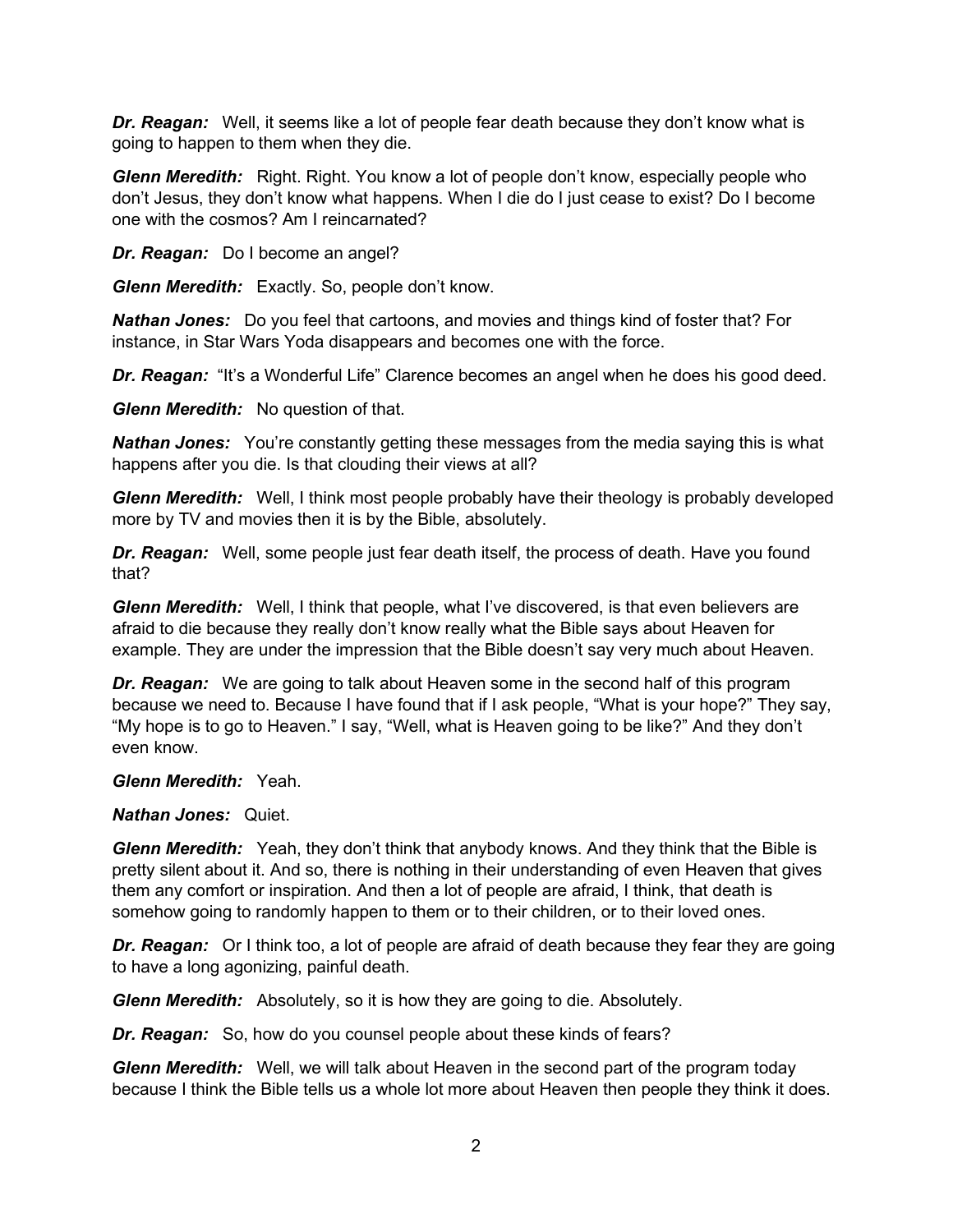*Dr. Reagan:* Well, it seems like a lot of people fear death because they don't know what is going to happen to them when they die.

*Glenn Meredith:* Right. Right. You know a lot of people don't know, especially people who don't Jesus, they don't know what happens. When I die do I just cease to exist? Do I become one with the cosmos? Am I reincarnated?

*Dr. Reagan:* Do I become an angel?

*Glenn Meredith:* Exactly. So, people don't know.

*Nathan Jones:* Do you feel that cartoons, and movies and things kind of foster that? For instance, in Star Wars Yoda disappears and becomes one with the force.

**Dr. Reagan:** "It's a Wonderful Life" Clarence becomes an angel when he does his good deed.

*Glenn Meredith:* No question of that.

*Nathan Jones:* You're constantly getting these messages from the media saying this is what happens after you die. Is that clouding their views at all?

*Glenn Meredith:* Well, I think most people probably have their theology is probably developed more by TV and movies then it is by the Bible, absolutely.

*Dr. Reagan:* Well, some people just fear death itself, the process of death. Have you found that?

*Glenn Meredith:* Well, I think that people, what I've discovered, is that even believers are afraid to die because they really don't know really what the Bible says about Heaven for example. They are under the impression that the Bible doesn't say very much about Heaven.

*Dr. Reagan:* We are going to talk about Heaven some in the second half of this program because we need to. Because I have found that if I ask people, "What is your hope?" They say, "My hope is to go to Heaven." I say, "Well, what is Heaven going to be like?" And they don't even know.

*Glenn Meredith:* Yeah.

*Nathan Jones:* Quiet.

*Glenn Meredith:* Yeah, they don't think that anybody knows. And they think that the Bible is pretty silent about it. And so, there is nothing in their understanding of even Heaven that gives them any comfort or inspiration. And then a lot of people are afraid, I think, that death is somehow going to randomly happen to them or to their children, or to their loved ones.

*Dr. Reagan:* Or I think too, a lot of people are afraid of death because they fear they are going to have a long agonizing, painful death.

*Glenn Meredith:* Absolutely, so it is how they are going to die. Absolutely.

*Dr. Reagan:* So, how do you counsel people about these kinds of fears?

*Glenn Meredith:* Well, we will talk about Heaven in the second part of the program today because I think the Bible tells us a whole lot more about Heaven then people they think it does.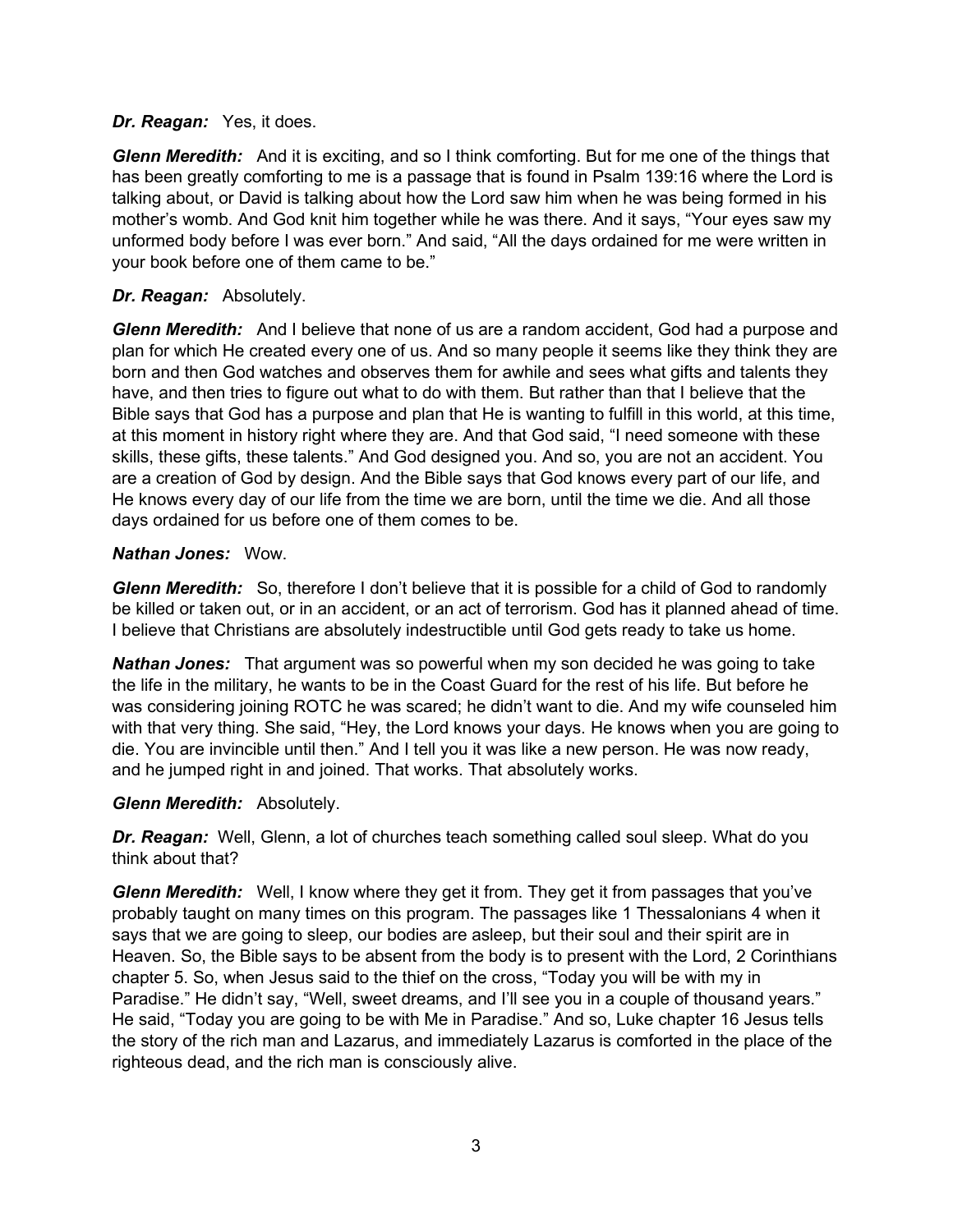#### *Dr. Reagan:* Yes, it does.

*Glenn Meredith:* And it is exciting, and so I think comforting. But for me one of the things that has been greatly comforting to me is a passage that is found in Psalm 139:16 where the Lord is talking about, or David is talking about how the Lord saw him when he was being formed in his mother's womb. And God knit him together while he was there. And it says, "Your eyes saw my unformed body before I was ever born." And said, "All the days ordained for me were written in your book before one of them came to be."

### *Dr. Reagan:* Absolutely.

*Glenn Meredith:* And I believe that none of us are a random accident, God had a purpose and plan for which He created every one of us. And so many people it seems like they think they are born and then God watches and observes them for awhile and sees what gifts and talents they have, and then tries to figure out what to do with them. But rather than that I believe that the Bible says that God has a purpose and plan that He is wanting to fulfill in this world, at this time, at this moment in history right where they are. And that God said, "I need someone with these skills, these gifts, these talents." And God designed you. And so, you are not an accident. You are a creation of God by design. And the Bible says that God knows every part of our life, and He knows every day of our life from the time we are born, until the time we die. And all those days ordained for us before one of them comes to be.

### *Nathan Jones:* Wow.

*Glenn Meredith:* So, therefore I don't believe that it is possible for a child of God to randomly be killed or taken out, or in an accident, or an act of terrorism. God has it planned ahead of time. I believe that Christians are absolutely indestructible until God gets ready to take us home.

*Nathan Jones:* That argument was so powerful when my son decided he was going to take the life in the military, he wants to be in the Coast Guard for the rest of his life. But before he was considering joining ROTC he was scared; he didn't want to die. And my wife counseled him with that very thing. She said, "Hey, the Lord knows your days. He knows when you are going to die. You are invincible until then." And I tell you it was like a new person. He was now ready, and he jumped right in and joined. That works. That absolutely works.

### *Glenn Meredith:* Absolutely.

*Dr. Reagan:* Well, Glenn, a lot of churches teach something called soul sleep. What do you think about that?

*Glenn Meredith:* Well, I know where they get it from. They get it from passages that you've probably taught on many times on this program. The passages like 1 Thessalonians 4 when it says that we are going to sleep, our bodies are asleep, but their soul and their spirit are in Heaven. So, the Bible says to be absent from the body is to present with the Lord, 2 Corinthians chapter 5. So, when Jesus said to the thief on the cross, "Today you will be with my in Paradise." He didn't say, "Well, sweet dreams, and I'll see you in a couple of thousand years." He said, "Today you are going to be with Me in Paradise." And so, Luke chapter 16 Jesus tells the story of the rich man and Lazarus, and immediately Lazarus is comforted in the place of the righteous dead, and the rich man is consciously alive.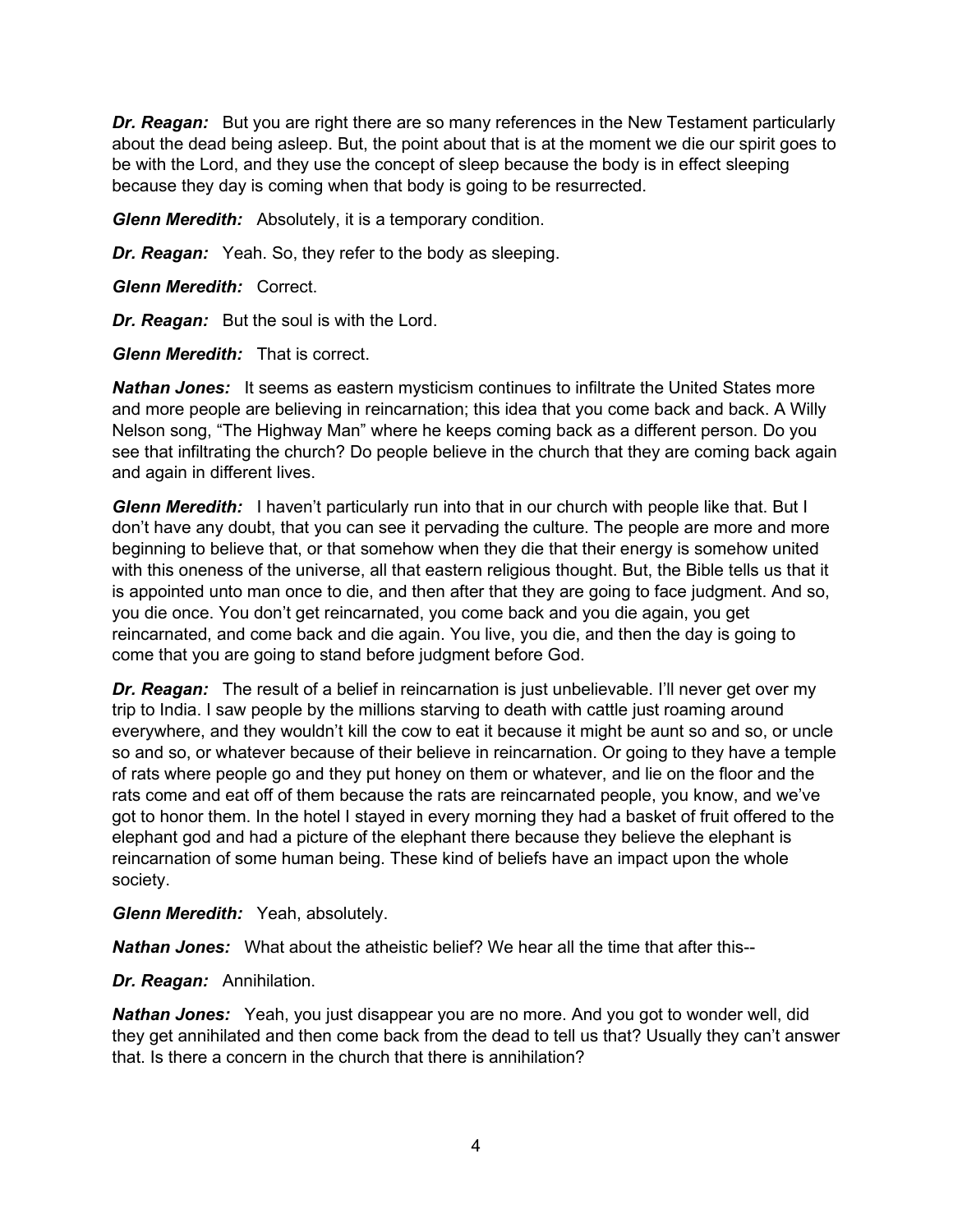**Dr. Reagan:** But you are right there are so many references in the New Testament particularly about the dead being asleep. But, the point about that is at the moment we die our spirit goes to be with the Lord, and they use the concept of sleep because the body is in effect sleeping because they day is coming when that body is going to be resurrected.

*Glenn Meredith:* Absolutely, it is a temporary condition.

*Dr. Reagan:* Yeah. So, they refer to the body as sleeping.

*Glenn Meredith:* Correct.

*Dr. Reagan:* But the soul is with the Lord.

*Glenn Meredith:* That is correct.

*Nathan Jones:* It seems as eastern mysticism continues to infiltrate the United States more and more people are believing in reincarnation; this idea that you come back and back. A Willy Nelson song, "The Highway Man" where he keeps coming back as a different person. Do you see that infiltrating the church? Do people believe in the church that they are coming back again and again in different lives.

*Glenn Meredith:* I haven't particularly run into that in our church with people like that. But I don't have any doubt, that you can see it pervading the culture. The people are more and more beginning to believe that, or that somehow when they die that their energy is somehow united with this oneness of the universe, all that eastern religious thought. But, the Bible tells us that it is appointed unto man once to die, and then after that they are going to face judgment. And so, you die once. You don't get reincarnated, you come back and you die again, you get reincarnated, and come back and die again. You live, you die, and then the day is going to come that you are going to stand before judgment before God.

*Dr. Reagan:* The result of a belief in reincarnation is just unbelievable. I'll never get over my trip to India. I saw people by the millions starving to death with cattle just roaming around everywhere, and they wouldn't kill the cow to eat it because it might be aunt so and so, or uncle so and so, or whatever because of their believe in reincarnation. Or going to they have a temple of rats where people go and they put honey on them or whatever, and lie on the floor and the rats come and eat off of them because the rats are reincarnated people, you know, and we've got to honor them. In the hotel I stayed in every morning they had a basket of fruit offered to the elephant god and had a picture of the elephant there because they believe the elephant is reincarnation of some human being. These kind of beliefs have an impact upon the whole society.

*Glenn Meredith:* Yeah, absolutely.

*Nathan Jones:* What about the atheistic belief? We hear all the time that after this--

*Dr. Reagan:* Annihilation.

*Nathan Jones:* Yeah, you just disappear you are no more. And you got to wonder well, did they get annihilated and then come back from the dead to tell us that? Usually they can't answer that. Is there a concern in the church that there is annihilation?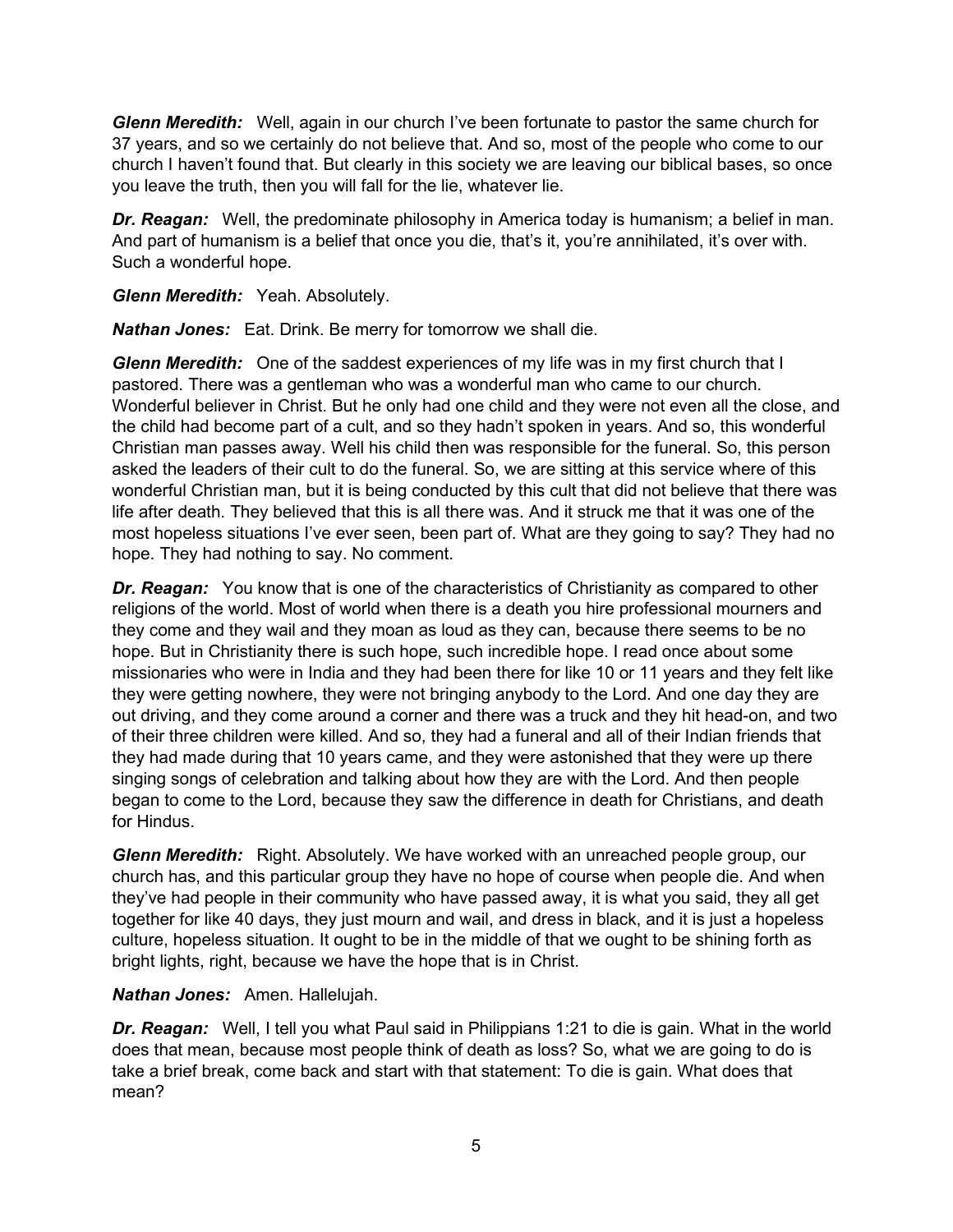*Glenn Meredith:* Well, again in our church I've been fortunate to pastor the same church for 37 years, and so we certainly do not believe that. And so, most of the people who come to our church I haven't found that. But clearly in this society we are leaving our biblical bases, so once you leave the truth, then you will fall for the lie, whatever lie.

**Dr. Reagan:** Well, the predominate philosophy in America today is humanism; a belief in man. And part of humanism is a belief that once you die, that's it, you're annihilated, it's over with. Such a wonderful hope.

*Glenn Meredith:* Yeah. Absolutely.

*Nathan Jones:* Eat. Drink. Be merry for tomorrow we shall die.

*Glenn Meredith:* One of the saddest experiences of my life was in my first church that I pastored. There was a gentleman who was a wonderful man who came to our church. Wonderful believer in Christ. But he only had one child and they were not even all the close, and the child had become part of a cult, and so they hadn't spoken in years. And so, this wonderful Christian man passes away. Well his child then was responsible for the funeral. So, this person asked the leaders of their cult to do the funeral. So, we are sitting at this service where of this wonderful Christian man, but it is being conducted by this cult that did not believe that there was life after death. They believed that this is all there was. And it struck me that it was one of the most hopeless situations I've ever seen, been part of. What are they going to say? They had no hope. They had nothing to say. No comment.

*Dr. Reagan:* You know that is one of the characteristics of Christianity as compared to other religions of the world. Most of world when there is a death you hire professional mourners and they come and they wail and they moan as loud as they can, because there seems to be no hope. But in Christianity there is such hope, such incredible hope. I read once about some missionaries who were in India and they had been there for like 10 or 11 years and they felt like they were getting nowhere, they were not bringing anybody to the Lord. And one day they are out driving, and they come around a corner and there was a truck and they hit head-on, and two of their three children were killed. And so, they had a funeral and all of their Indian friends that they had made during that 10 years came, and they were astonished that they were up there singing songs of celebration and talking about how they are with the Lord. And then people began to come to the Lord, because they saw the difference in death for Christians, and death for Hindus.

*Glenn Meredith:* Right. Absolutely. We have worked with an unreached people group, our church has, and this particular group they have no hope of course when people die. And when they've had people in their community who have passed away, it is what you said, they all get together for like 40 days, they just mourn and wail, and dress in black, and it is just a hopeless culture, hopeless situation. It ought to be in the middle of that we ought to be shining forth as bright lights, right, because we have the hope that is in Christ.

#### *Nathan Jones:* Amen. Hallelujah.

*Dr. Reagan:* Well, I tell you what Paul said in Philippians 1:21 to die is gain. What in the world does that mean, because most people think of death as loss? So, what we are going to do is take a brief break, come back and start with that statement: To die is gain. What does that mean?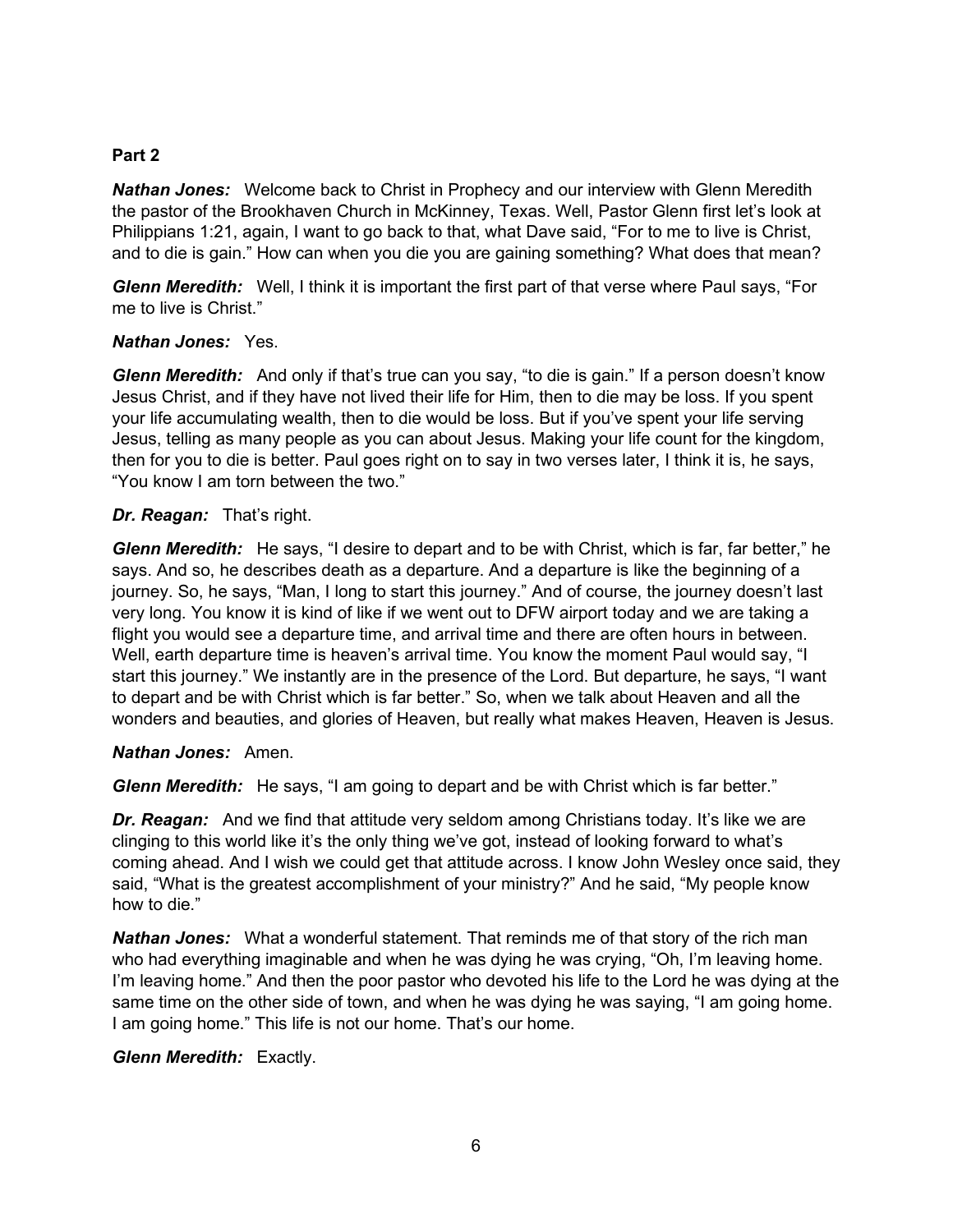### **Part 2**

*Nathan Jones:* Welcome back to Christ in Prophecy and our interview with Glenn Meredith the pastor of the Brookhaven Church in McKinney, Texas. Well, Pastor Glenn first let's look at Philippians 1:21, again, I want to go back to that, what Dave said, "For to me to live is Christ, and to die is gain." How can when you die you are gaining something? What does that mean?

*Glenn Meredith:* Well, I think it is important the first part of that verse where Paul says, "For me to live is Christ."

### *Nathan Jones:* Yes.

*Glenn Meredith:* And only if that's true can you say, "to die is gain." If a person doesn't know Jesus Christ, and if they have not lived their life for Him, then to die may be loss. If you spent your life accumulating wealth, then to die would be loss. But if you've spent your life serving Jesus, telling as many people as you can about Jesus. Making your life count for the kingdom, then for you to die is better. Paul goes right on to say in two verses later, I think it is, he says, "You know I am torn between the two."

#### *Dr. Reagan:* That's right.

*Glenn Meredith:* He says, "I desire to depart and to be with Christ, which is far, far better," he says. And so, he describes death as a departure. And a departure is like the beginning of a journey. So, he says, "Man, I long to start this journey." And of course, the journey doesn't last very long. You know it is kind of like if we went out to DFW airport today and we are taking a flight you would see a departure time, and arrival time and there are often hours in between. Well, earth departure time is heaven's arrival time. You know the moment Paul would say, "I start this journey." We instantly are in the presence of the Lord. But departure, he says, "I want to depart and be with Christ which is far better." So, when we talk about Heaven and all the wonders and beauties, and glories of Heaven, but really what makes Heaven, Heaven is Jesus.

### *Nathan Jones:* Amen.

*Glenn Meredith:* He says, "I am going to depart and be with Christ which is far better."

**Dr. Reagan:** And we find that attitude very seldom among Christians today. It's like we are clinging to this world like it's the only thing we've got, instead of looking forward to what's coming ahead. And I wish we could get that attitude across. I know John Wesley once said, they said, "What is the greatest accomplishment of your ministry?" And he said, "My people know how to die."

*Nathan Jones:* What a wonderful statement. That reminds me of that story of the rich man who had everything imaginable and when he was dying he was crying, "Oh, I'm leaving home. I'm leaving home." And then the poor pastor who devoted his life to the Lord he was dying at the same time on the other side of town, and when he was dying he was saying, "I am going home. I am going home." This life is not our home. That's our home.

### *Glenn Meredith:* Exactly.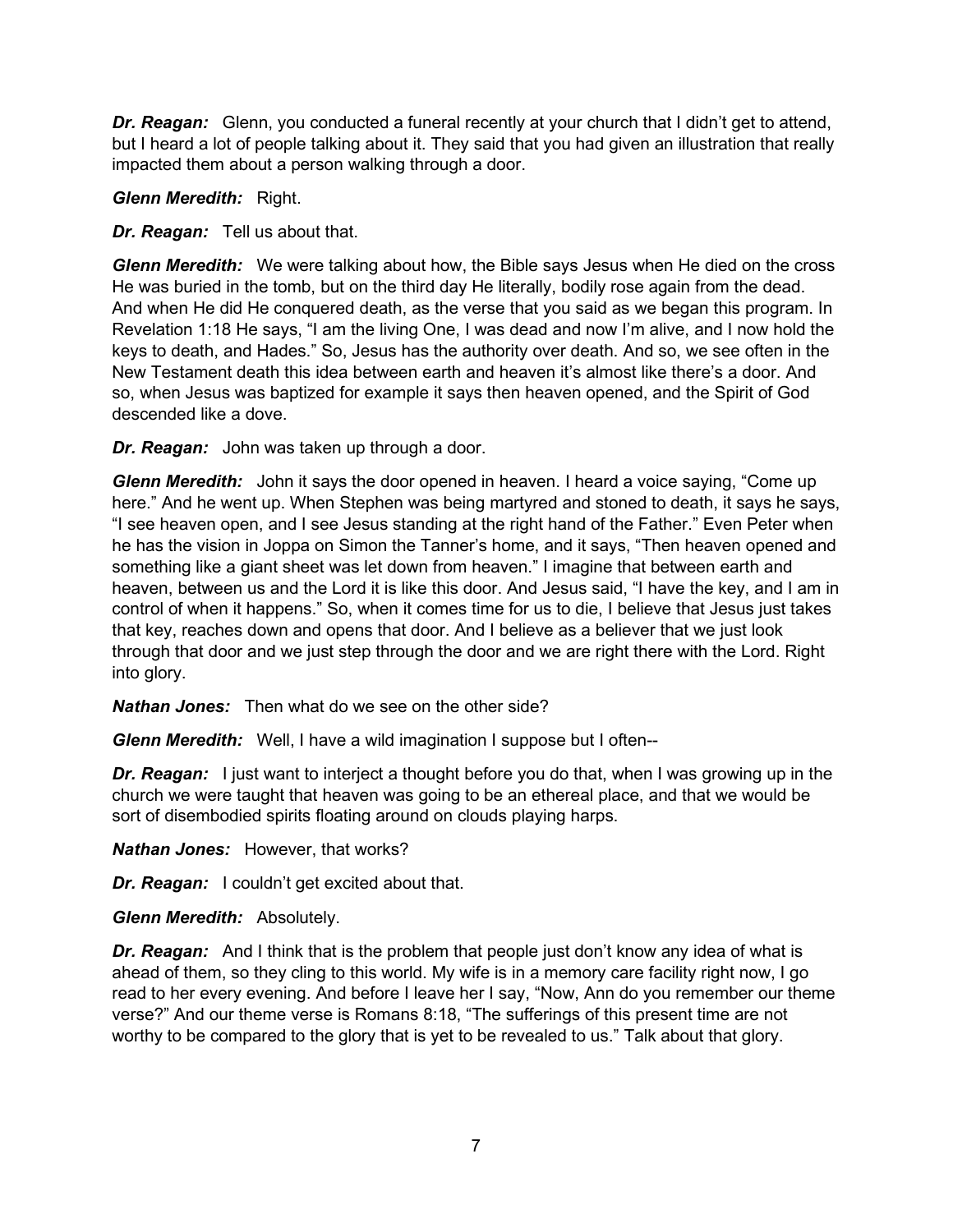*Dr. Reagan:* Glenn, you conducted a funeral recently at your church that I didn't get to attend, but I heard a lot of people talking about it. They said that you had given an illustration that really impacted them about a person walking through a door.

*Glenn Meredith:* Right.

*Dr. Reagan:* Tell us about that.

*Glenn Meredith:* We were talking about how, the Bible says Jesus when He died on the cross He was buried in the tomb, but on the third day He literally, bodily rose again from the dead. And when He did He conquered death, as the verse that you said as we began this program. In Revelation 1:18 He says, "I am the living One, I was dead and now I'm alive, and I now hold the keys to death, and Hades." So, Jesus has the authority over death. And so, we see often in the New Testament death this idea between earth and heaven it's almost like there's a door. And so, when Jesus was baptized for example it says then heaven opened, and the Spirit of God descended like a dove.

*Dr. Reagan:* John was taken up through a door.

*Glenn Meredith:* John it says the door opened in heaven. I heard a voice saying, "Come up here." And he went up. When Stephen was being martyred and stoned to death, it says he says, "I see heaven open, and I see Jesus standing at the right hand of the Father." Even Peter when he has the vision in Joppa on Simon the Tanner's home, and it says, "Then heaven opened and something like a giant sheet was let down from heaven." I imagine that between earth and heaven, between us and the Lord it is like this door. And Jesus said, "I have the key, and I am in control of when it happens." So, when it comes time for us to die, I believe that Jesus just takes that key, reaches down and opens that door. And I believe as a believer that we just look through that door and we just step through the door and we are right there with the Lord. Right into glory.

*Nathan Jones:* Then what do we see on the other side?

*Glenn Meredith:* Well, I have a wild imagination I suppose but I often--

*Dr. Reagan:* I just want to interject a thought before you do that, when I was growing up in the church we were taught that heaven was going to be an ethereal place, and that we would be sort of disembodied spirits floating around on clouds playing harps.

*Nathan Jones:* However, that works?

*Dr. Reagan:* I couldn't get excited about that.

*Glenn Meredith:* Absolutely.

*Dr. Reagan:* And I think that is the problem that people just don't know any idea of what is ahead of them, so they cling to this world. My wife is in a memory care facility right now, I go read to her every evening. And before I leave her I say, "Now, Ann do you remember our theme verse?" And our theme verse is Romans 8:18, "The sufferings of this present time are not worthy to be compared to the glory that is yet to be revealed to us." Talk about that glory.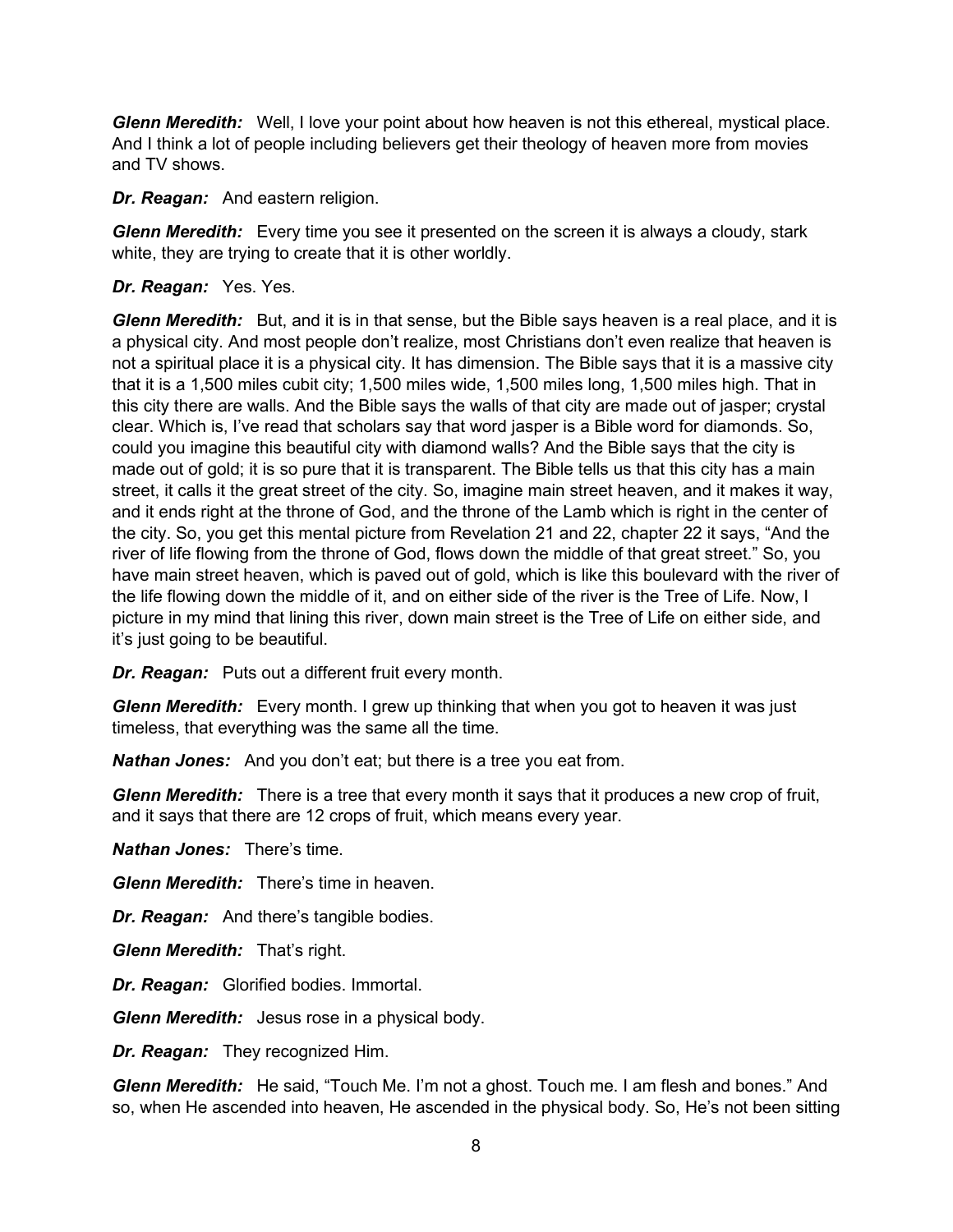*Glenn Meredith:* Well, I love your point about how heaven is not this ethereal, mystical place. And I think a lot of people including believers get their theology of heaven more from movies and TV shows.

*Dr. Reagan:* And eastern religion.

*Glenn Meredith:* Every time you see it presented on the screen it is always a cloudy, stark white, they are trying to create that it is other worldly.

### *Dr. Reagan:* Yes. Yes.

*Glenn Meredith:* But, and it is in that sense, but the Bible says heaven is a real place, and it is a physical city. And most people don't realize, most Christians don't even realize that heaven is not a spiritual place it is a physical city. It has dimension. The Bible says that it is a massive city that it is a 1,500 miles cubit city; 1,500 miles wide, 1,500 miles long, 1,500 miles high. That in this city there are walls. And the Bible says the walls of that city are made out of jasper; crystal clear. Which is, I've read that scholars say that word jasper is a Bible word for diamonds. So, could you imagine this beautiful city with diamond walls? And the Bible says that the city is made out of gold; it is so pure that it is transparent. The Bible tells us that this city has a main street, it calls it the great street of the city. So, imagine main street heaven, and it makes it way, and it ends right at the throne of God, and the throne of the Lamb which is right in the center of the city. So, you get this mental picture from Revelation 21 and 22, chapter 22 it says, "And the river of life flowing from the throne of God, flows down the middle of that great street." So, you have main street heaven, which is paved out of gold, which is like this boulevard with the river of the life flowing down the middle of it, and on either side of the river is the Tree of Life. Now, I picture in my mind that lining this river, down main street is the Tree of Life on either side, and it's just going to be beautiful.

*Dr. Reagan:* Puts out a different fruit every month.

*Glenn Meredith:* Every month. I grew up thinking that when you got to heaven it was just timeless, that everything was the same all the time.

*Nathan Jones:* And you don't eat; but there is a tree you eat from.

*Glenn Meredith:* There is a tree that every month it says that it produces a new crop of fruit, and it says that there are 12 crops of fruit, which means every year.

*Nathan Jones:* There's time.

*Glenn Meredith:* There's time in heaven.

*Dr. Reagan:* And there's tangible bodies.

*Glenn Meredith:* That's right.

*Dr. Reagan:* Glorified bodies. Immortal.

*Glenn Meredith:* Jesus rose in a physical body.

*Dr. Reagan:* They recognized Him.

*Glenn Meredith:* He said, "Touch Me. I'm not a ghost. Touch me. I am flesh and bones." And so, when He ascended into heaven, He ascended in the physical body. So, He's not been sitting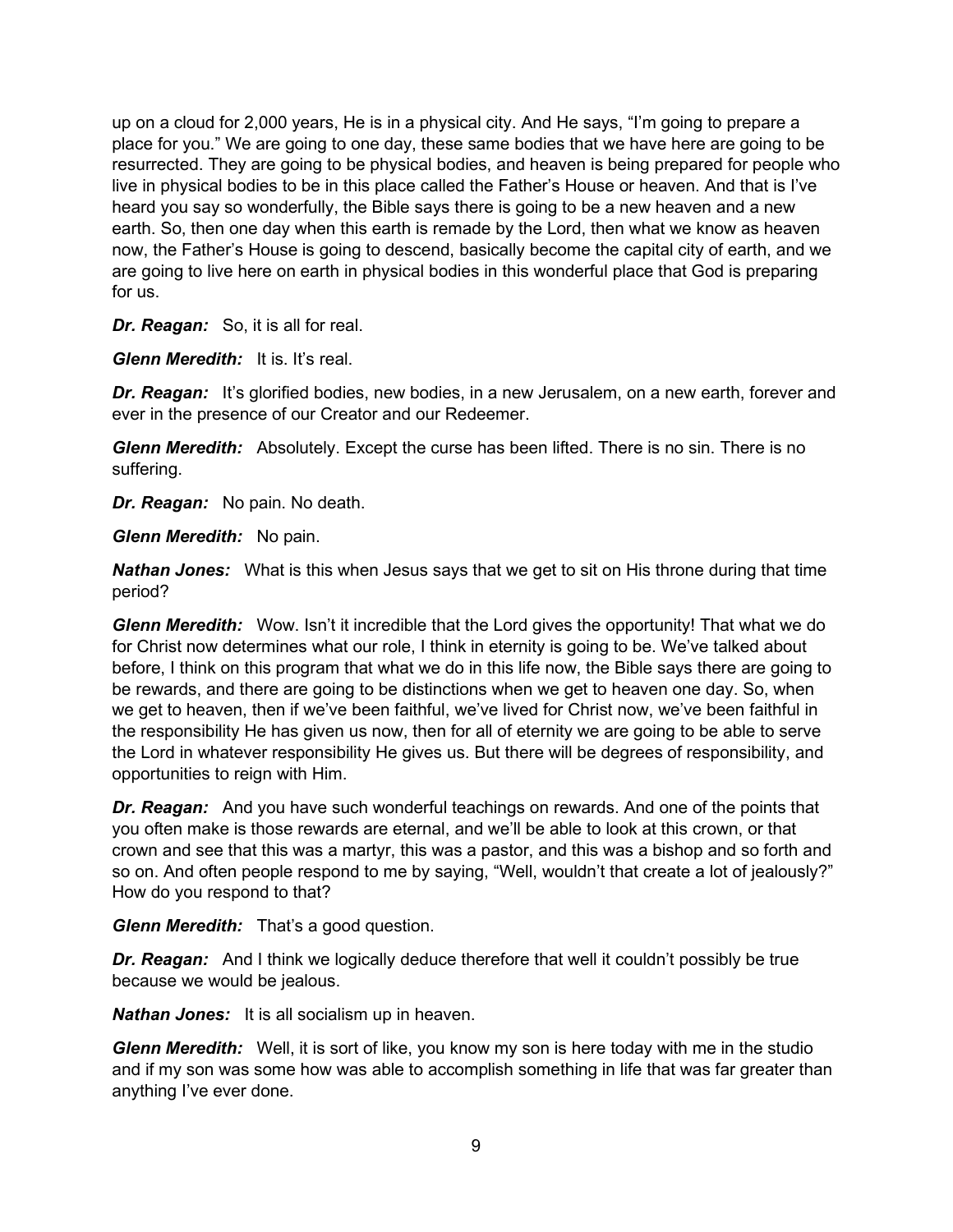up on a cloud for 2,000 years, He is in a physical city. And He says, "I'm going to prepare a place for you." We are going to one day, these same bodies that we have here are going to be resurrected. They are going to be physical bodies, and heaven is being prepared for people who live in physical bodies to be in this place called the Father's House or heaven. And that is I've heard you say so wonderfully, the Bible says there is going to be a new heaven and a new earth. So, then one day when this earth is remade by the Lord, then what we know as heaven now, the Father's House is going to descend, basically become the capital city of earth, and we are going to live here on earth in physical bodies in this wonderful place that God is preparing for us.

*Dr. Reagan:* So, it is all for real.

*Glenn Meredith:* It is. It's real.

**Dr. Reagan:** It's glorified bodies, new bodies, in a new Jerusalem, on a new earth, forever and ever in the presence of our Creator and our Redeemer.

*Glenn Meredith:* Absolutely. Except the curse has been lifted. There is no sin. There is no suffering.

*Dr. Reagan:* No pain. No death.

*Glenn Meredith:* No pain.

*Nathan Jones:* What is this when Jesus says that we get to sit on His throne during that time period?

*Glenn Meredith:* Wow. Isn't it incredible that the Lord gives the opportunity! That what we do for Christ now determines what our role, I think in eternity is going to be. We've talked about before, I think on this program that what we do in this life now, the Bible says there are going to be rewards, and there are going to be distinctions when we get to heaven one day. So, when we get to heaven, then if we've been faithful, we've lived for Christ now, we've been faithful in the responsibility He has given us now, then for all of eternity we are going to be able to serve the Lord in whatever responsibility He gives us. But there will be degrees of responsibility, and opportunities to reign with Him.

*Dr. Reagan:* And you have such wonderful teachings on rewards. And one of the points that you often make is those rewards are eternal, and we'll be able to look at this crown, or that crown and see that this was a martyr, this was a pastor, and this was a bishop and so forth and so on. And often people respond to me by saying, "Well, wouldn't that create a lot of jealously?" How do you respond to that?

*Glenn Meredith:* That's a good question.

*Dr. Reagan:* And I think we logically deduce therefore that well it couldn't possibly be true because we would be jealous.

*Nathan Jones:* It is all socialism up in heaven.

*Glenn Meredith:* Well, it is sort of like, you know my son is here today with me in the studio and if my son was some how was able to accomplish something in life that was far greater than anything I've ever done.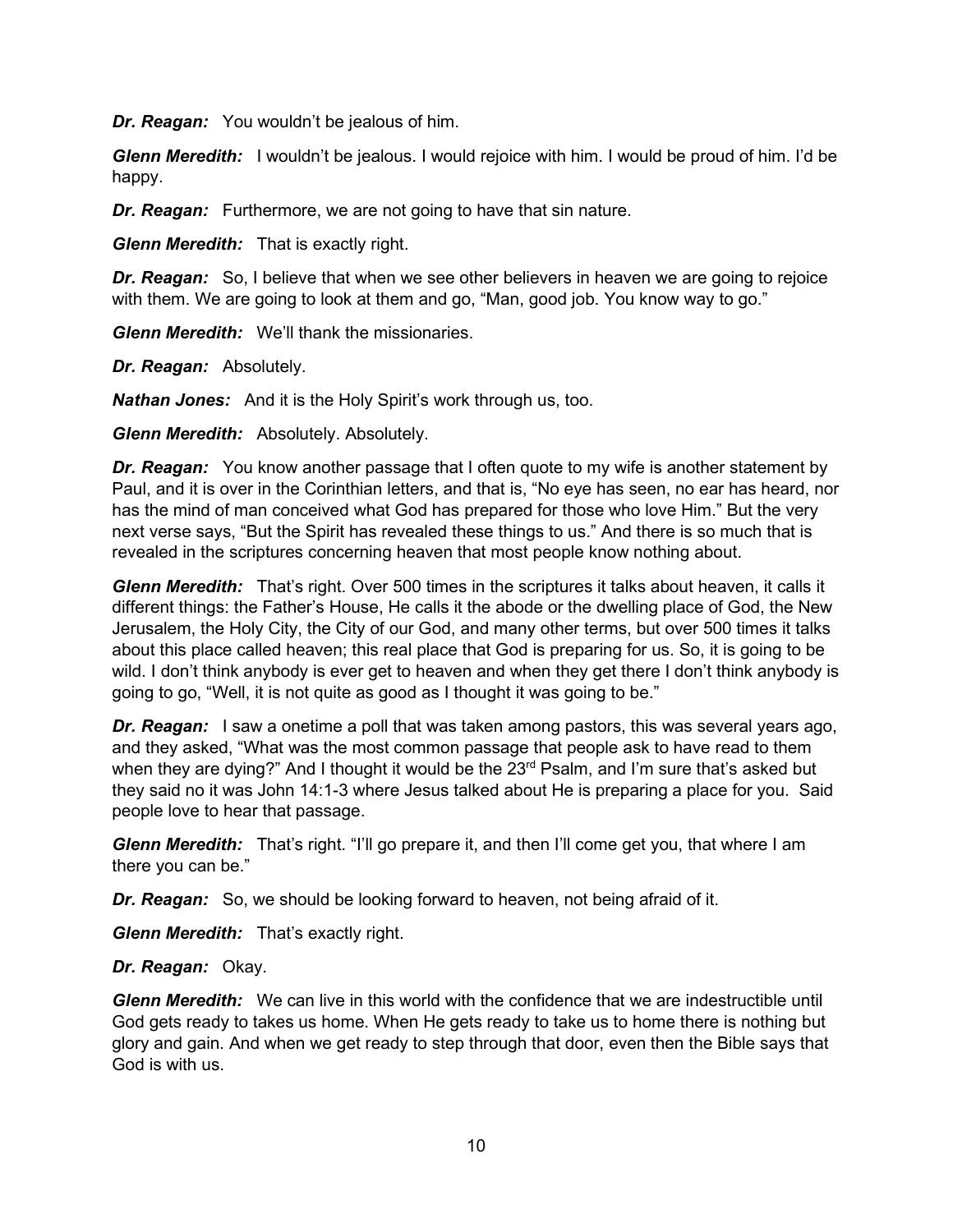*Dr. Reagan:* You wouldn't be jealous of him.

*Glenn Meredith:* I wouldn't be jealous. I would rejoice with him. I would be proud of him. I'd be happy.

**Dr. Reagan:** Furthermore, we are not going to have that sin nature.

*Glenn Meredith:* That is exactly right.

*Dr. Reagan:* So, I believe that when we see other believers in heaven we are going to rejoice with them. We are going to look at them and go, "Man, good job. You know way to go."

*Glenn Meredith:* We'll thank the missionaries.

*Dr. Reagan:* Absolutely.

*Nathan Jones:* And it is the Holy Spirit's work through us, too.

*Glenn Meredith:* Absolutely. Absolutely.

*Dr. Reagan:* You know another passage that I often quote to my wife is another statement by Paul, and it is over in the Corinthian letters, and that is, "No eye has seen, no ear has heard, nor has the mind of man conceived what God has prepared for those who love Him." But the very next verse says, "But the Spirit has revealed these things to us." And there is so much that is revealed in the scriptures concerning heaven that most people know nothing about.

*Glenn Meredith:* That's right. Over 500 times in the scriptures it talks about heaven, it calls it different things: the Father's House, He calls it the abode or the dwelling place of God, the New Jerusalem, the Holy City, the City of our God, and many other terms, but over 500 times it talks about this place called heaven; this real place that God is preparing for us. So, it is going to be wild. I don't think anybody is ever get to heaven and when they get there I don't think anybody is going to go, "Well, it is not quite as good as I thought it was going to be."

**Dr. Reagan:** I saw a onetime a poll that was taken among pastors, this was several years ago, and they asked, "What was the most common passage that people ask to have read to them when they are dying?" And I thought it would be the 23<sup>rd</sup> Psalm, and I'm sure that's asked but they said no it was John 14:1-3 where Jesus talked about He is preparing a place for you. Said people love to hear that passage.

*Glenn Meredith:* That's right. "I'll go prepare it, and then I'll come get you, that where I am there you can be."

*Dr. Reagan:* So, we should be looking forward to heaven, not being afraid of it.

*Glenn Meredith:* That's exactly right.

### *Dr. Reagan:* Okay.

*Glenn Meredith:* We can live in this world with the confidence that we are indestructible until God gets ready to takes us home. When He gets ready to take us to home there is nothing but glory and gain. And when we get ready to step through that door, even then the Bible says that God is with us.